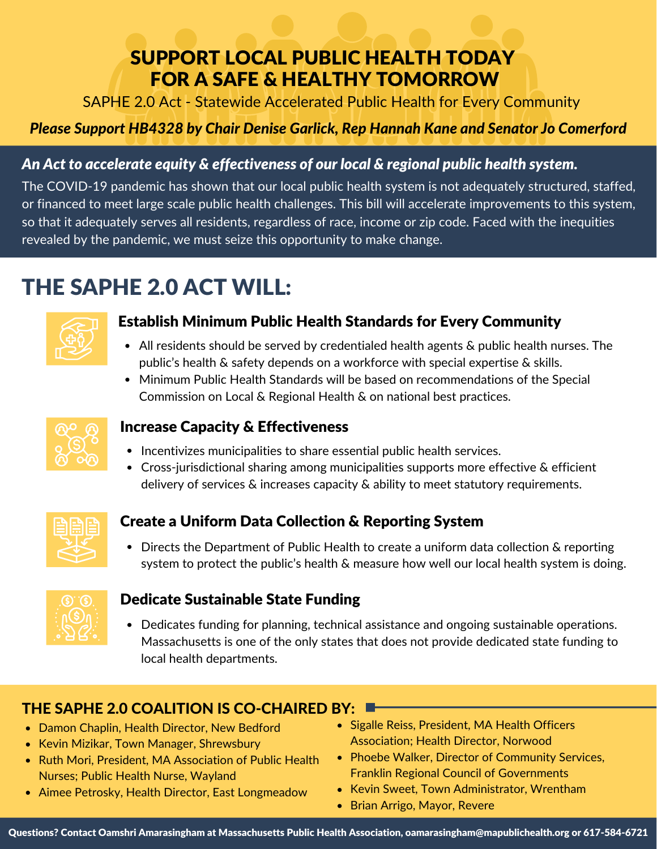## SUPPORT LOCAL PUBLIC HEALTH TODAY FOR A SAFE & HEALTHY TOMORROW

SAPHE 2.0 Act - Statewide Accelerated Public Health for Every Community

#### *Please Support HB4328 by Chair Denise Garlick, Rep Hannah Kane and Senator Jo Comerford*

#### *An Act to accelerate equity & effectiveness of our local & regional public health system.*

The COVID-19 pandemic has shown that our local public health system is not adequately structured, staffed, or financed to meet large scale public health challenges. This bill will accelerate improvements to this system, so that it adequately serves all residents, regardless of race, income or zip code. Faced with the inequities revealed by the pandemic, we must seize this opportunity to make change.

# THE SAPHE 2.0 ACT WILL:



#### Establish Minimum Public Health Standards for Every Community

- All residents should be served by credentialed health agents & public health nurses. The public's health & safety depends on a workforce with special expertise & skills.
- Minimum Public Health Standards will be based on recommendations of the Special Commission on Local & Regional Health & on national best practices.



#### Increase Capacity & Effectiveness

- Incentivizes municipalities to share essential public health services.
- Cross-jurisdictional sharing among municipalities supports more effective & efficient delivery of services & increases capacity & ability to meet statutory requirements.



#### Create a Uniform Data Collection & Reporting System

• Directs the Department of Public Health to create a uniform data collection & reporting system to protect the public's health & measure how well our local health system is doing.



#### Dedicate Sustainable State Funding

Dedicates funding for planning, technical assistance and ongoing sustainable operations. Massachusetts is one of the only states that does not provide dedicated state funding to local health departments.

## THE SAPHE 2.0 COALITION IS CO-CHAIRED BY:

- Damon Chaplin, Health Director, New Bedford
- Kevin Mizikar, Town Manager, Shrewsbury
- Ruth Mori, President, MA Association of Public Health Nurses; Public Health Nurse, Wayland
- Aimee Petrosky, Health Director, East Longmeadow
- Sigalle Reiss, President, MA Health Officers Association; Health Director, Norwood
- Phoebe Walker, Director of Community Services, Franklin Regional Council of Governments
- Kevin Sweet, Town Administrator, Wrentham
- Brian Arrigo, Mayor, Revere